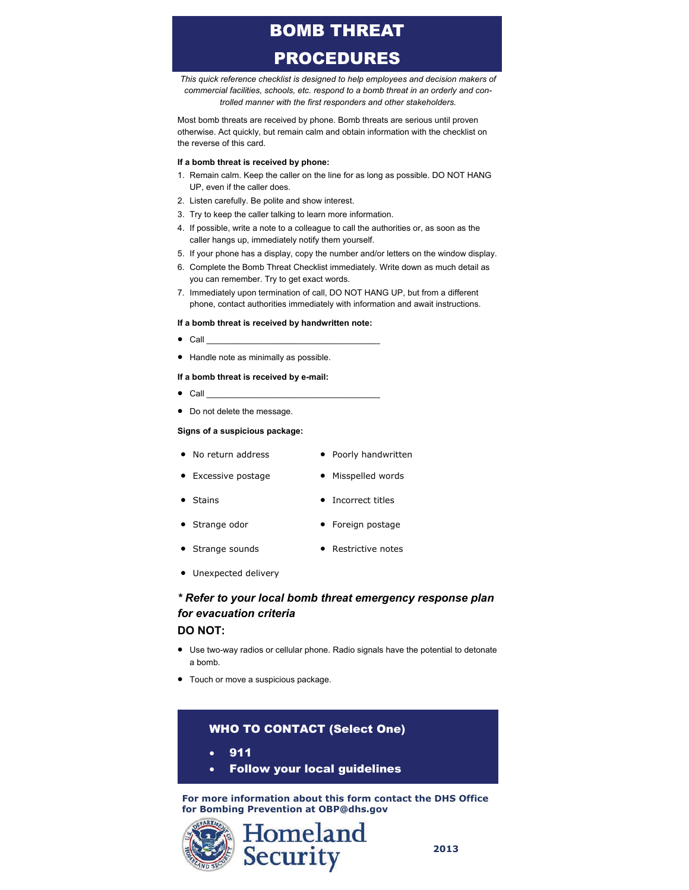# BOMB THREAT PROCEDURES

*This quick reference checklist is designed to help employees and decision makers of commercial facilities, schools, etc. respond to a bomb threat in an orderly and controlled manner with the first responders and other stakeholders.* 

Most bomb threats are received by phone. Bomb threats are serious until proven otherwise. Act quickly, but remain calm and obtain information with the checklist on the reverse of this card.

#### **If a bomb threat is received by phone:**

- 1. Remain calm. Keep the caller on the line for as long as possible. DO NOT HANG UP, even if the caller does.
- 2. Listen carefully. Be polite and show interest.
- 3. Try to keep the caller talking to learn more information.
- 4. If possible, write a note to a colleague to call the authorities or, as soon as the caller hangs up, immediately notify them yourself.
- 5. If your phone has a display, copy the number and/or letters on the window display.
- 6. Complete the Bomb Threat Checklist immediately. Write down as much detail as you can remember. Try to get exact words.
- 7. Immediately upon termination of call, DO NOT HANG UP, but from a different phone, contact authorities immediately with information and await instructions.

#### **If a bomb threat is received by handwritten note:**

- $\bullet$  Call
- Handle note as minimally as possible.

#### **If a bomb threat is received by e-mail:**

- $\bullet$  Call
- Do not delete the message.

#### **Signs of a suspicious package:**

- No return address Poorly handwritten
- Excessive postage Misspelled words
- Stains Incorrect titles
- Strange odor **•** Foreign postage
- Strange sounds Restrictive notes
- Unexpected delivery

## *\* Refer to your local bomb threat emergency response plan for evacuation criteria*

## **DO NOT:**

- Use two-way radios or cellular phone. Radio signals have the potential to detonate a bomb.
- Touch or move a suspicious package.

## WHO TO CONTACT (Select One)

911

Follow your local guidelines

**For more information about this form contact the DHS Office for Bombing Prevention at OBP@dhs.gov**